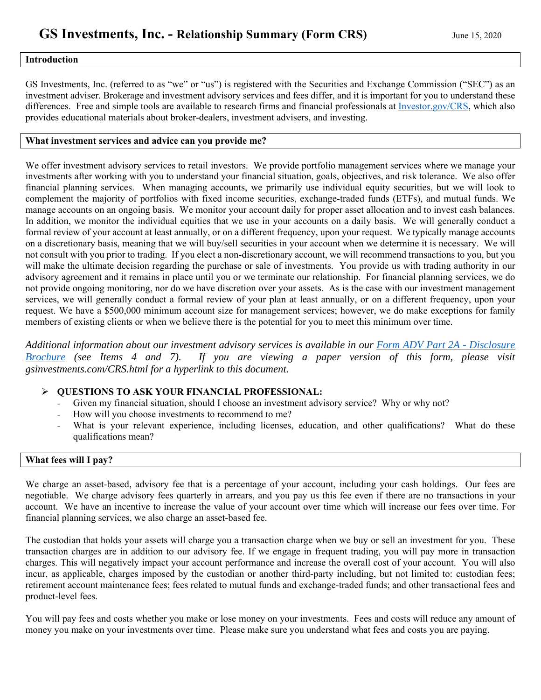#### **Introduction**

GS Investments, Inc. (referred to as "we" or "us") is registered with the Securities and Exchange Commission ("SEC") as an investment adviser. Brokerage and investment advisory services and fees differ, and it is important for you to understand these differences. Free and simple tools are available to research firms and financial professionals at<Investor.gov/CRS>, which also provides educational materials about broker-dealers, investment advisers, and investing.

#### **What investment services and advice can you provide me?**

We offer investment advisory services to retail investors. We provide portfolio management services where we manage your investments after working with you to understand your financial situation, goals, objectives, and risk tolerance. We also offer financial planning services. When managing accounts, we primarily use individual equity securities, but we will look to complement the majority of portfolios with fixed income securities, exchange-traded funds (ETFs), and mutual funds. We manage accounts on an ongoing basis. We monitor your account daily for proper asset allocation and to invest cash balances. In addition, we monitor the individual equities that we use in your accounts on a daily basis. We will generally conduct a formal review of your account at least annually, or on a different frequency, upon your request. We typically manage accounts on a discretionary basis, meaning that we will buy/sell securities in your account when we determine it is necessary. We will not consult with you prior to trading. If you elect a non-discretionary account, we will recommend transactions to you, but you will make the ultimate decision regarding the purchase or sale of investments. You provide us with trading authority in our advisory agreement and it remains in place until you or we terminate our relationship. For financial planning services, we do not provide ongoing monitoring, nor do we have discretion over your assets. As is the case with our investment management services, we will generally conduct a formal review of your plan at least annually, or on a different frequency, upon your request. We have a \$500,000 minimum account size for management services; however, we do make exceptions for family members of existing clients or when we believe there is the potential for you to meet this minimum over time.

*[Additional information about our investment advisory services is available in our Form ADV Part 2A - Disclosure](http://gsinvestments.com/assets/form-adv-part-2a_disclosure-brochure.pdf) Brochure (see Items 4 and 7). If you are viewing a paper version of this form, please visit gsinvestments.com/CRS.html for a hyperlink to this document.* 

#### **QUESTIONS TO ASK YOUR FINANCIAL PROFESSIONAL:**

- Given my financial situation, should I choose an investment advisory service? Why or why not?
- How will you choose investments to recommend to me?
- What is your relevant experience, including licenses, education, and other qualifications? What do these qualifications mean?

#### **What fees will I pay?**

We charge an asset-based, advisory fee that is a percentage of your account, including your cash holdings. Our fees are negotiable. We charge advisory fees quarterly in arrears, and you pay us this fee even if there are no transactions in your account. We have an incentive to increase the value of your account over time which will increase our fees over time. For financial planning services, we also charge an asset-based fee.

The custodian that holds your assets will charge you a transaction charge when we buy or sell an investment for you. These transaction charges are in addition to our advisory fee. If we engage in frequent trading, you will pay more in transaction charges. This will negatively impact your account performance and increase the overall cost of your account. You will also incur, as applicable, charges imposed by the custodian or another third-party including, but not limited to: custodian fees; retirement account maintenance fees; fees related to mutual funds and exchange-traded funds; and other transactional fees and product-level fees.

You will pay fees and costs whether you make or lose money on your investments. Fees and costs will reduce any amount of money you make on your investments over time. Please make sure you understand what fees and costs you are paying.